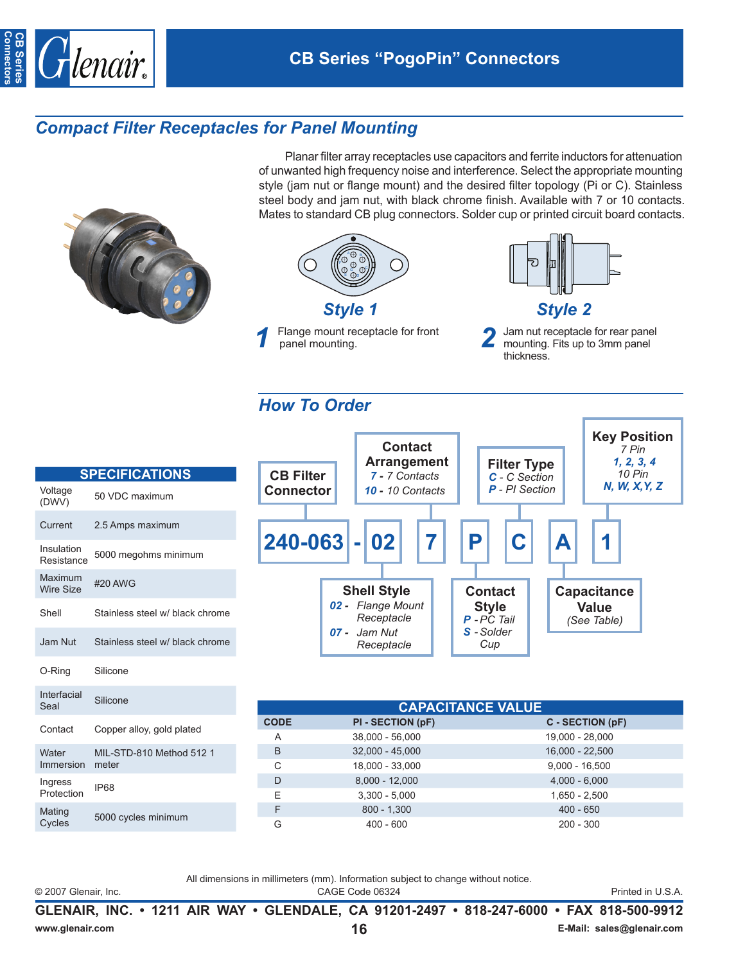

## *Compact Filter Receptacles for Panel Mounting*

Planar filter array receptacles use capacitors and ferrite inductors for attenuation of unwanted high frequency noise and interference. Select the appropriate mounting style (jam nut or flange mount) and the desired filter topology (Pi or C). Stainless steel body and jam nut, with black chrome finish. Available with 7 or 10 contacts. Mates to standard CB plug connectors. Solder cup or printed circuit board contacts.







## *How To Order*

| <b>SPECIFICATIONS</b>       |                                 |  |  |  |  |
|-----------------------------|---------------------------------|--|--|--|--|
| Voltage<br>(DWV)            | 50 VDC maximum                  |  |  |  |  |
| Current                     | 2.5 Amps maximum                |  |  |  |  |
| Insulation<br>Resistance    | 5000 megohms minimum            |  |  |  |  |
| Maximum<br><b>Wire Size</b> | #20 AWG                         |  |  |  |  |
| Shell                       | Stainless steel w/ black chrome |  |  |  |  |
| Jam Nut                     | Stainless steel w/ black chrome |  |  |  |  |
| O-Ring                      | Silicone                        |  |  |  |  |
| Interfacial<br>Seal         | Silicone                        |  |  |  |  |
| Contact                     | Copper alloy, gold plated       |  |  |  |  |
| Water                       | MIL-STD-810 Method 512 1        |  |  |  |  |

5000 cycles minimu



|         |             | <b>CAPACITANCE VALUE</b> |                   |  |  |  |
|---------|-------------|--------------------------|-------------------|--|--|--|
| plated  | <b>CODE</b> | PI - SECTION (pF)        | C - SECTION (pF)  |  |  |  |
|         | A           | 38,000 - 56,000          | 19,000 - 28,000   |  |  |  |
| od 5121 | B           | $32,000 - 45,000$        | $16,000 - 22,500$ |  |  |  |
|         | C           | 18,000 - 33,000          | $9,000 - 16,500$  |  |  |  |
|         | D           | $8,000 - 12,000$         | $4,000 - 6,000$   |  |  |  |
|         | Е           | $3,300 - 5,000$          | $1,650 - 2,500$   |  |  |  |
| ım      | F           | $800 - 1,300$            | $400 - 650$       |  |  |  |
|         | G           | $400 - 600$              | $200 - 300$       |  |  |  |
|         |             |                          |                   |  |  |  |

All dimensions in millimeters (mm). Information subject to change without notice.

Immersion meter

Ingress Ingress<br>Protection IP68

Mating<br>Cycles

© 2007 Glenair, Inc. CAGE Code 06324 Printed in U.S.A.